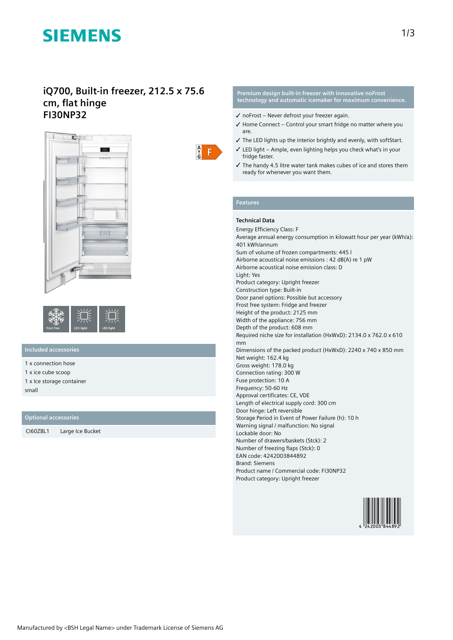# **SIEMENS**

# **iQ700, Built-in freezer, 212.5 x 75.6 cm, flat hinge FI30NP32**





# **Included accessories**

1 x connection hose

1 x ice cube scoop

1 x Ice storage container small

# **Optional accessories**

CI60ZBL1 Large Ice Bucket



#### **Premium design built-in freezer with innovative noFrost technology and automatic icemaker for maximum convenience.**

- $\checkmark$  no Frost Never defrost your freezer again.
- ✓ Home Connect Control your smart fridge no matter where you are.
- ✓ The LED lights up the interior brightly and evenly, with softStart.
- ✓ LED light Ample, even lighting helps you check what's in your fridge faster.
- ✓ The handy 4.5 litre water tank makes cubes of ice and stores them ready for whenever you want them.

### **Features**

### **Technical Data**

Energy Efficiency Class: F Average annual energy consumption in kilowatt hour per year (kWh/a): 401 kWh/annum Sum of volume of frozen compartments: 445 l Airborne acoustical noise emissions : 42 dB(A) re 1 pW Airborne acoustical noise emission class: D Light: Yes Product category: Upright freezer Construction type: Built-in Door panel options: Possible but accessory Frost free system: Fridge and freezer Height of the product: 2125 mm Width of the appliance: 756 mm Depth of the product: 608 mm Required niche size for installation (HxWxD): 2134.0 x 762.0 x 610 mm Dimensions of the packed product (HxWxD): 2240 x 740 x 850 mm Net weight: 162.4 kg Gross weight: 178.0 kg Connection rating: 300 W Fuse protection: 10 A Frequency: 50-60 Hz Approval certificates: CE, VDE Length of electrical supply cord: 300 cm Door hinge: Left reversible Storage Period in Event of Power Failure (h): 10 h Warning signal / malfunction: No signal Lockable door: No Number of drawers/baskets (Stck): 2 Number of freezing flaps (Stck): 0 EAN code: 4242003844892 Brand: Siemens Product name / Commercial code: FI30NP32 Product category: Upright freezer

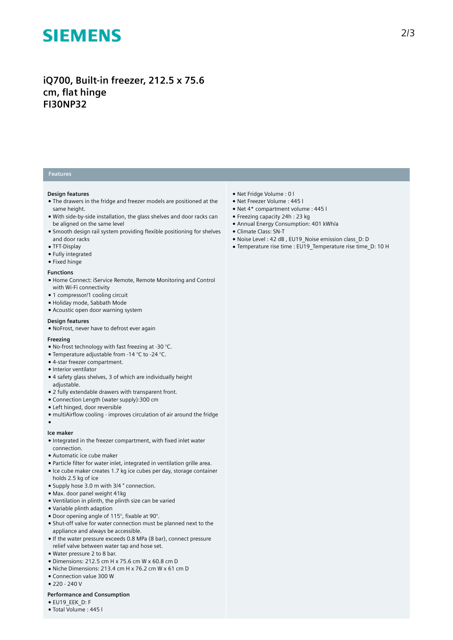# **SIEMENS**

# **iQ700, Built-in freezer, 212.5 x 75.6 cm, flat hinge FI30NP32**

## **Features**

#### **Design features**

- The drawers in the fridge and freezer models are positioned at the same height.
- With side-by-side installation, the glass shelves and door racks can be aligned on the same level
- Smooth design rail system providing flexible positioning for shelves and door racks
- TFT-Display
- Fully integrated
- Fixed hinge

#### **Functions**

- Home Connect: iService Remote, Remote Monitoring and Control with Wi-Fi connectivity
- 1 compressor/1 cooling circuit
- Holiday mode, Sabbath Mode
- Acoustic open door warning system

#### **Design features**

● NoFrost, never have to defrost ever again

#### **Freezing**

- $\bullet$  No-frost technology with fast freezing at -30 °C.
- Temperature adjustable from -14 °C to -24 °C.
- 4-star freezer compartment.
- Interior ventilator
- 4 safety glass shelves, 3 of which are individually height adjustable.
- 2 fully extendable drawers with transparent front.
- Connection Length (water supply):300 cm
- Left hinged, door reversible
- multiAirflow cooling improves circulation of air around the fridge

### ●

### **Ice maker**

- Integrated in the freezer compartment, with fixed inlet water connection.
- Automatic ice cube maker
- Particle filter for water inlet, integrated in ventilation grille area.
- Ice cube maker creates 1.7 kg ice cubes per day, storage container holds 2.5 kg of ice
- Supply hose 3.0 m with 3/4 " connection.
- Max. door panel weight 41kg
- Ventilation in plinth, the plinth size can be varied
- Variable plinth adaption
- Door opening angle of 115°, fixable at 90°.
- Shut-off valve for water connection must be planned next to the appliance and always be accessible.
- If the water pressure exceeds 0.8 MPa (8 bar), connect pressure relief valve between water tap and hose set.
- Water pressure 2 to 8 bar.
- Dimensions: 212.5 cm H x 75.6 cm W x 60.8 cm D
- Niche Dimensions: 213.4 cm H x 76.2 cm W x 61 cm D
- Connection value 300 W
- $220 240V$

## **Performance and Consumption**

- EU19\_EEK\_D: F
- Total Volume : 445 l
- Net Fridge Volume : 0 l
- Net Freezer Volume : 445 l
- Net 4\* compartment volume : 445 l
- Freezing capacity 24h : 23 kg
- Annual Energy Consumption: 401 kWh/a
- Climate Class: SN-T
- Noise Level : 42 dB , EU19\_Noise emission class\_D: D
- Temperature rise time : EU19\_Temperature rise time\_D: 10 H